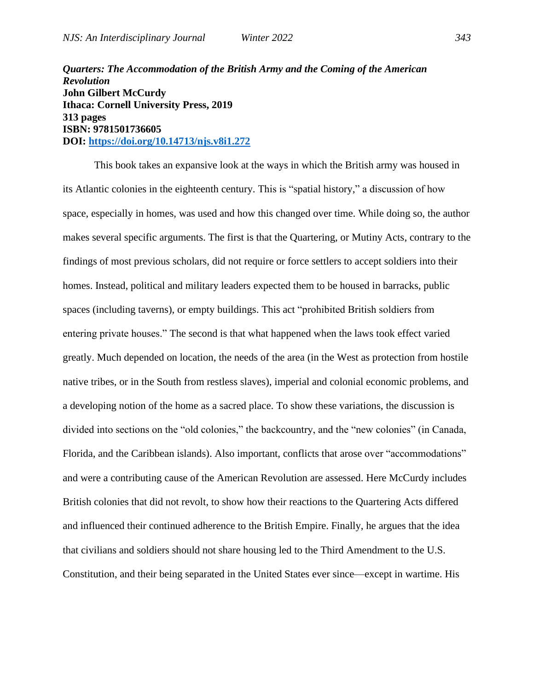*Quarters: The Accommodation of the British Army and the Coming of the American Revolution* **John Gilbert McCurdy Ithaca: Cornell University Press, 2019 313 pages ISBN: 9781501736605 DOI:<https://doi.org/10.14713/njs.v8i1.272>** 

This book takes an expansive look at the ways in which the British army was housed in its Atlantic colonies in the eighteenth century. This is "spatial history," a discussion of how space, especially in homes, was used and how this changed over time. While doing so, the author makes several specific arguments. The first is that the Quartering, or Mutiny Acts, contrary to the findings of most previous scholars, did not require or force settlers to accept soldiers into their homes. Instead, political and military leaders expected them to be housed in barracks, public spaces (including taverns), or empty buildings. This act "prohibited British soldiers from entering private houses." The second is that what happened when the laws took effect varied greatly. Much depended on location, the needs of the area (in the West as protection from hostile native tribes, or in the South from restless slaves), imperial and colonial economic problems, and a developing notion of the home as a sacred place. To show these variations, the discussion is divided into sections on the "old colonies," the backcountry, and the "new colonies" (in Canada, Florida, and the Caribbean islands). Also important, conflicts that arose over "accommodations" and were a contributing cause of the American Revolution are assessed. Here McCurdy includes British colonies that did not revolt, to show how their reactions to the Quartering Acts differed and influenced their continued adherence to the British Empire. Finally, he argues that the idea that civilians and soldiers should not share housing led to the Third Amendment to the U.S. Constitution, and their being separated in the United States ever since—except in wartime. His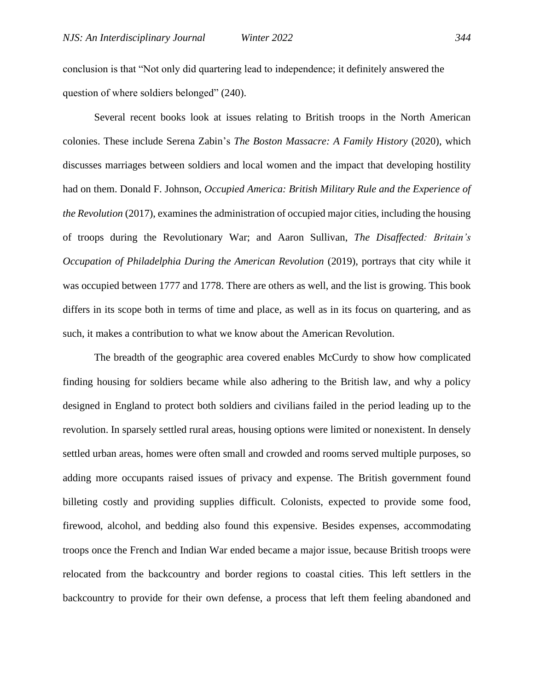conclusion is that "Not only did quartering lead to independence; it definitely answered the question of where soldiers belonged" (240).

Several recent books look at issues relating to British troops in the North American colonies. These include Serena Zabin's *The Boston Massacre: A Family History* (2020), which discusses marriages between soldiers and local women and the impact that developing hostility had on them. Donald F. Johnson, *Occupied America: British Military Rule and the Experience of the Revolution* (2017), examines the administration of occupied major cities, including the housing of troops during the Revolutionary War; and Aaron Sullivan, *The Disaffected: Britain's Occupation of Philadelphia During the American Revolution* (2019), portrays that city while it was occupied between 1777 and 1778. There are others as well, and the list is growing. This book differs in its scope both in terms of time and place, as well as in its focus on quartering, and as such, it makes a contribution to what we know about the American Revolution.

The breadth of the geographic area covered enables McCurdy to show how complicated finding housing for soldiers became while also adhering to the British law, and why a policy designed in England to protect both soldiers and civilians failed in the period leading up to the revolution. In sparsely settled rural areas, housing options were limited or nonexistent. In densely settled urban areas, homes were often small and crowded and rooms served multiple purposes, so adding more occupants raised issues of privacy and expense. The British government found billeting costly and providing supplies difficult. Colonists, expected to provide some food, firewood, alcohol, and bedding also found this expensive. Besides expenses, accommodating troops once the French and Indian War ended became a major issue, because British troops were relocated from the backcountry and border regions to coastal cities. This left settlers in the backcountry to provide for their own defense, a process that left them feeling abandoned and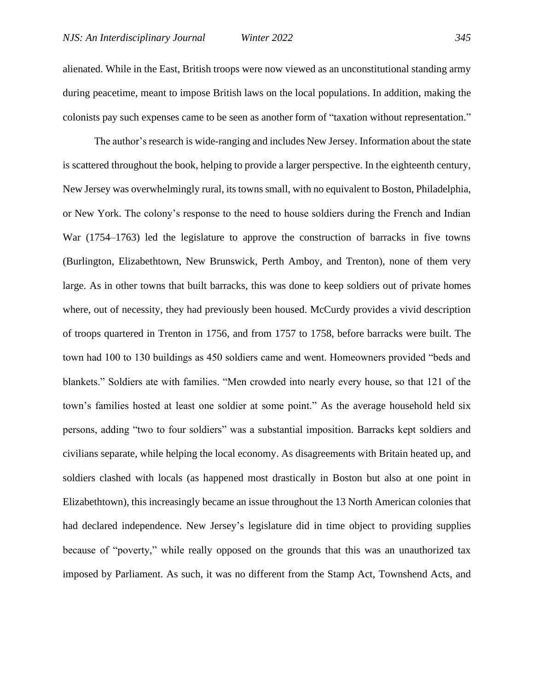alienated. While in the East, British troops were now viewed as an unconstitutional standing army during peacetime, meant to impose British laws on the local populations. In addition, making the colonists pay such expenses came to be seen as another form of "taxation without representation."

The author's research is wide-ranging and includes New Jersey. Information about the state is scattered throughout the book, helping to provide a larger perspective. In the eighteenth century, New Jersey was overwhelmingly rural, its towns small, with no equivalent to Boston, Philadelphia, or New York. The colony's response to the need to house soldiers during the French and Indian War (1754–1763) led the legislature to approve the construction of barracks in five towns (Burlington, Elizabethtown, New Brunswick, Perth Amboy, and Trenton), none of them very large. As in other towns that built barracks, this was done to keep soldiers out of private homes where, out of necessity, they had previously been housed. McCurdy provides a vivid description of troops quartered in Trenton in 1756, and from 1757 to 1758, before barracks were built. The town had 100 to 130 buildings as 450 soldiers came and went. Homeowners provided "beds and blankets." Soldiers ate with families. "Men crowded into nearly every house, so that 121 of the town's families hosted at least one soldier at some point." As the average household held six persons, adding "two to four soldiers" was a substantial imposition. Barracks kept soldiers and civilians separate, while helping the local economy. As disagreements with Britain heated up, and soldiers clashed with locals (as happened most drastically in Boston but also at one point in Elizabethtown), this increasingly became an issue throughout the 13 North American colonies that had declared independence. New Jersey's legislature did in time object to providing supplies because of "poverty," while really opposed on the grounds that this was an unauthorized tax imposed by Parliament. As such, it was no different from the Stamp Act, Townshend Acts, and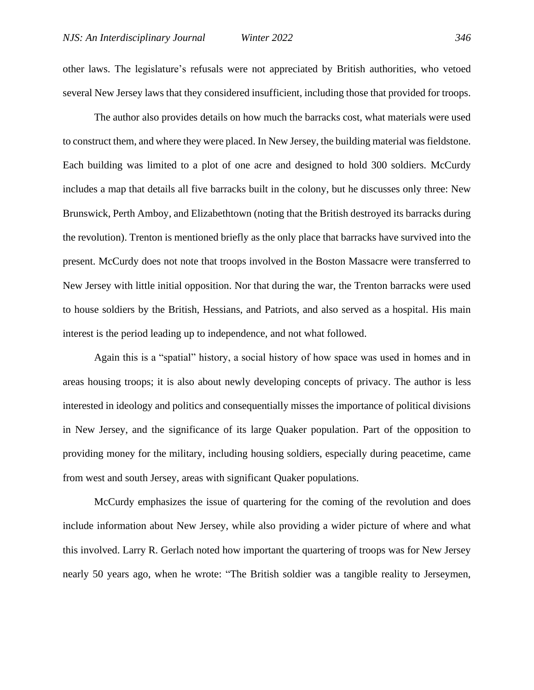other laws. The legislature's refusals were not appreciated by British authorities, who vetoed several New Jersey laws that they considered insufficient, including those that provided for troops.

The author also provides details on how much the barracks cost, what materials were used to construct them, and where they were placed. In New Jersey, the building material was fieldstone. Each building was limited to a plot of one acre and designed to hold 300 soldiers. McCurdy includes a map that details all five barracks built in the colony, but he discusses only three: New Brunswick, Perth Amboy, and Elizabethtown (noting that the British destroyed its barracks during the revolution). Trenton is mentioned briefly as the only place that barracks have survived into the present. McCurdy does not note that troops involved in the Boston Massacre were transferred to New Jersey with little initial opposition. Nor that during the war, the Trenton barracks were used to house soldiers by the British, Hessians, and Patriots, and also served as a hospital. His main interest is the period leading up to independence, and not what followed.

Again this is a "spatial" history, a social history of how space was used in homes and in areas housing troops; it is also about newly developing concepts of privacy. The author is less interested in ideology and politics and consequentially misses the importance of political divisions in New Jersey, and the significance of its large Quaker population. Part of the opposition to providing money for the military, including housing soldiers, especially during peacetime, came from west and south Jersey, areas with significant Quaker populations.

McCurdy emphasizes the issue of quartering for the coming of the revolution and does include information about New Jersey, while also providing a wider picture of where and what this involved. Larry R. Gerlach noted how important the quartering of troops was for New Jersey nearly 50 years ago, when he wrote: "The British soldier was a tangible reality to Jerseymen,